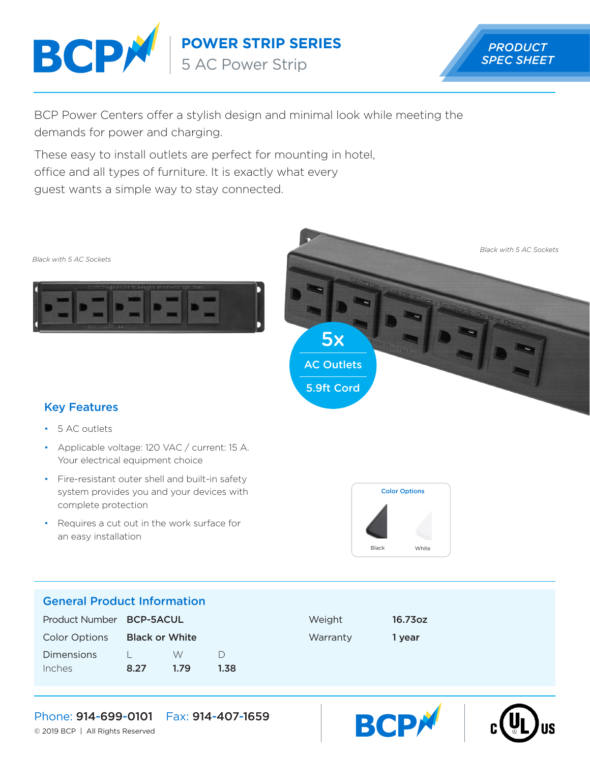

**POWER STRIP SERIES**

5 AC Power Strip



BCP Power Centers offer a stylish design and minimal look while meeting the demands for power and charging.

These easy to install outlets are perfect for mounting in hotel, office and all types of furniture. It is exactly what every guest wants a simple way to stay connected.







## Key Features

- 5 AC outlets
- Applicable voltage: 120 VAC / current: 15 A. Your electrical equipment choice
- Fire-resistant outer shell and built-in safety system provides you and your devices with complete protection
- Requires a cut out in the work surface for an easy installation



**BCP** 

## General Product Information

| Product Number <b>BCP-5ACUL</b> |                |      |      | Weight   | 16.73oz |
|---------------------------------|----------------|------|------|----------|---------|
| Color Options                   | Black or White |      |      | Warranty | 1 vear  |
| <b>Dimensions</b>               |                | W    |      |          |         |
| Inches                          | 8.27           | 1.79 | 1.38 |          |         |

## Phone: 914-699-0101 Fax: 914-407-1659

© 2019 BCP | All Rights Reserved